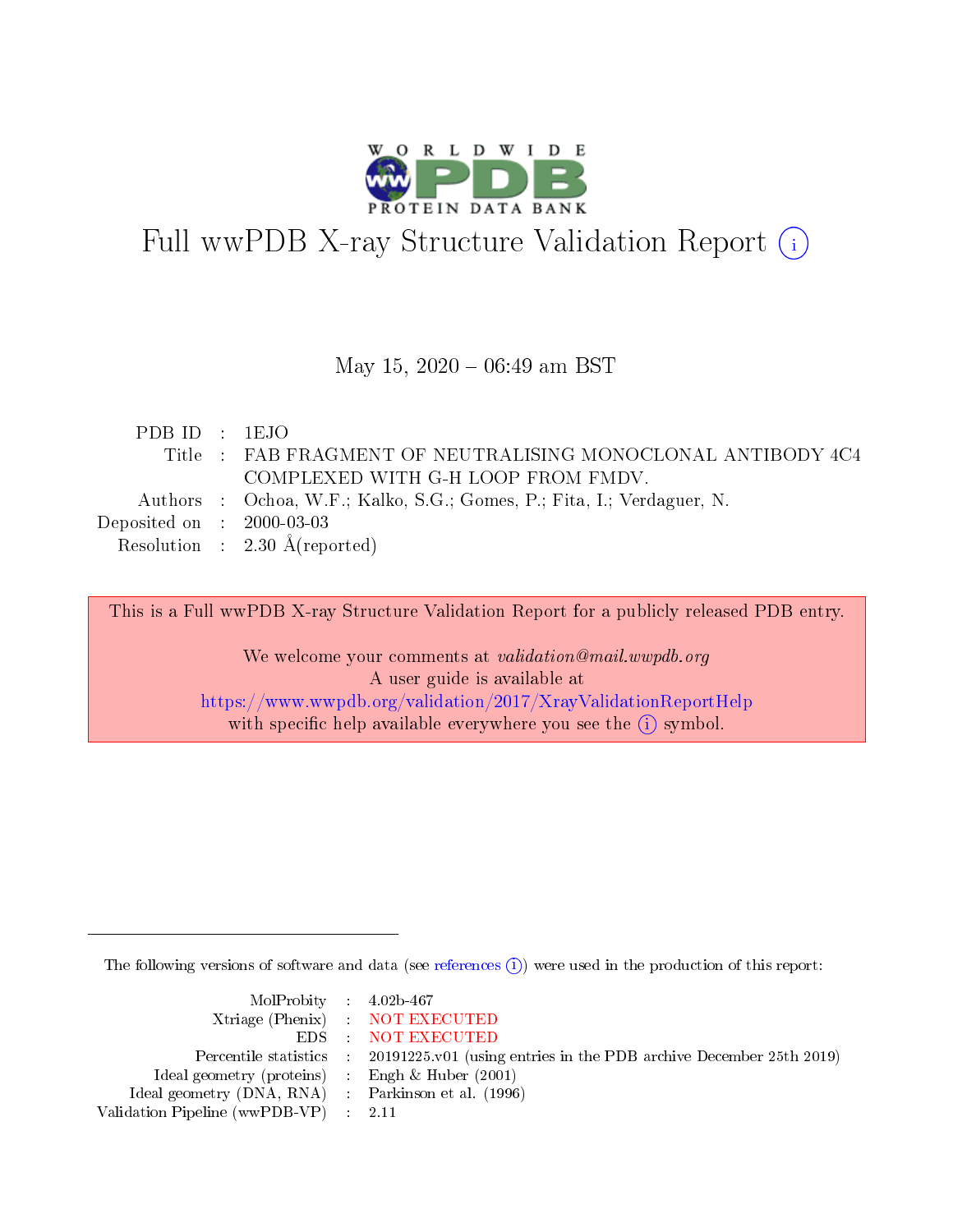

# Full wwPDB X-ray Structure Validation Report (i)

### May 15,  $2020 - 06:49$  am BST

| PDBID : 1EJO                         |                                                                        |
|--------------------------------------|------------------------------------------------------------------------|
|                                      | Title: FAB FRAGMENT OF NEUTRALISING MONOCLONAL ANTIBODY 4C4            |
|                                      | COMPLEXED WITH G-H LOOP FROM FMDV.                                     |
|                                      | Authors : Ochoa, W.F.; Kalko, S.G.; Gomes, P.; Fita, I.; Verdaguer, N. |
| Deposited on $\therefore$ 2000-03-03 |                                                                        |
|                                      | Resolution : $2.30 \text{ Å}$ (reported)                               |

This is a Full wwPDB X-ray Structure Validation Report for a publicly released PDB entry.

We welcome your comments at validation@mail.wwpdb.org A user guide is available at <https://www.wwpdb.org/validation/2017/XrayValidationReportHelp> with specific help available everywhere you see the  $(i)$  symbol.

The following versions of software and data (see [references](https://www.wwpdb.org/validation/2017/XrayValidationReportHelp#references)  $\overline{(1)}$ ) were used in the production of this report:

| $MolProbability$ 4.02b-467                          |                                                                    |
|-----------------------------------------------------|--------------------------------------------------------------------|
|                                                     | Xtriage (Phenix) NOT EXECUTED                                      |
|                                                     | EDS : NOT EXECUTED                                                 |
| Percentile statistics :                             | 20191225.v01 (using entries in the PDB archive December 25th 2019) |
| Ideal geometry (proteins) :                         | Engh $\&$ Huber (2001)                                             |
| Ideal geometry (DNA, RNA) : Parkinson et al. (1996) |                                                                    |
| Validation Pipeline (wwPDB-VP) : 2.11               |                                                                    |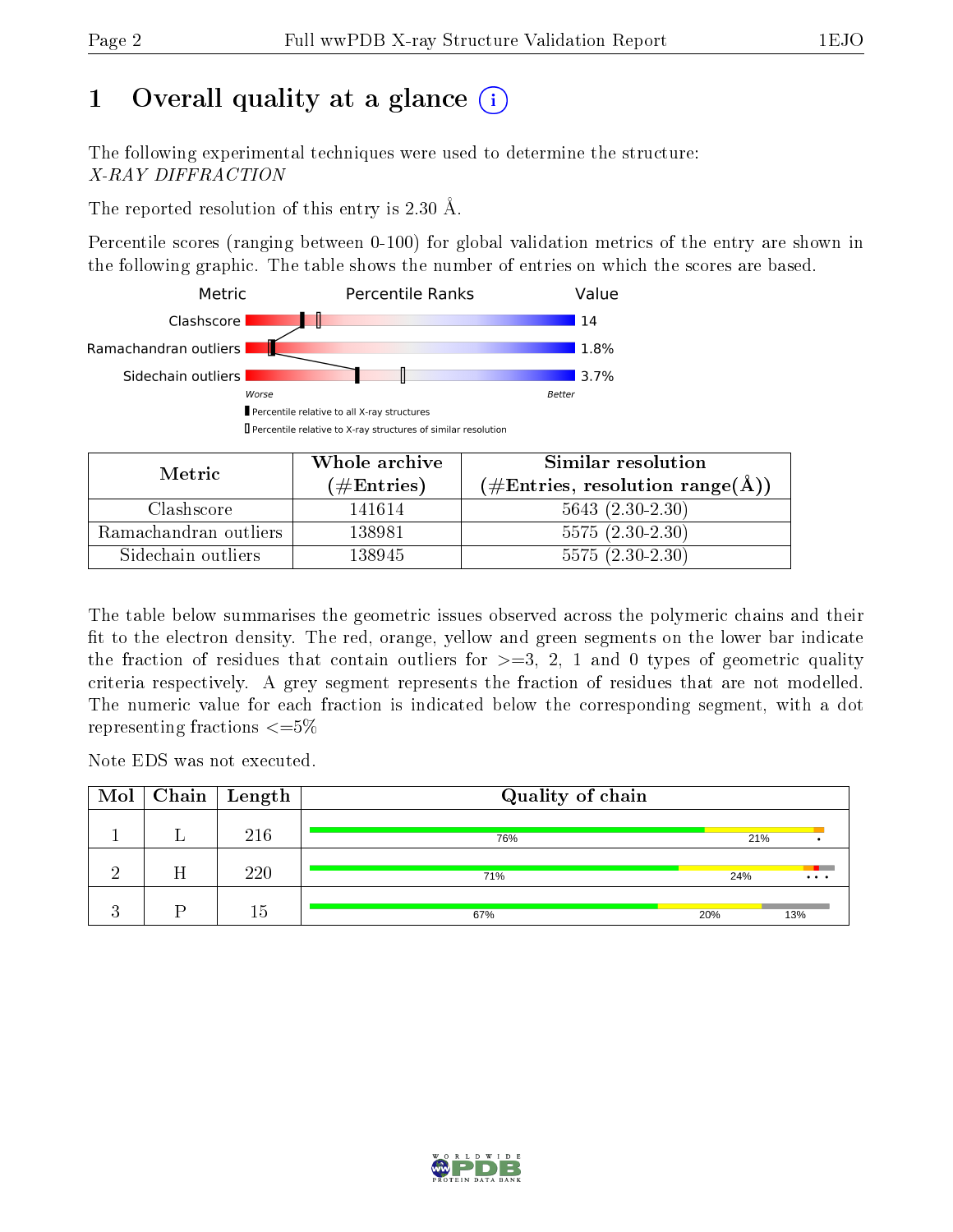# 1 [O](https://www.wwpdb.org/validation/2017/XrayValidationReportHelp#overall_quality)verall quality at a glance  $(i)$

The following experimental techniques were used to determine the structure: X-RAY DIFFRACTION

The reported resolution of this entry is 2.30 Å.

Percentile scores (ranging between 0-100) for global validation metrics of the entry are shown in the following graphic. The table shows the number of entries on which the scores are based.



| Metric.               | Whole archive       | Similar resolution                                         |
|-----------------------|---------------------|------------------------------------------------------------|
|                       | (# $\rm{Entries}$ ) | $(\#\text{Entries}, \text{resolution range}(\text{\AA}) )$ |
| Clashscore            | 141614              | $5643(2.30-2.30)$                                          |
| Ramachandran outliers | 138981              | $5575(2.30-2.30)$                                          |
| Sidechain outliers    | 138945              | $5575(2.30-2.30)$                                          |

The table below summarises the geometric issues observed across the polymeric chains and their fit to the electron density. The red, orange, yellow and green segments on the lower bar indicate the fraction of residues that contain outliers for  $\geq=3$ , 2, 1 and 0 types of geometric quality criteria respectively. A grey segment represents the fraction of residues that are not modelled. The numeric value for each fraction is indicated below the corresponding segment, with a dot representing fractions  $\leq=5\%$ 

Note EDS was not executed.

| Mol         |   | $Chain \  Length$ | Quality of chain |     |          |
|-------------|---|-------------------|------------------|-----|----------|
|             |   | 216               | 76%              | 21% |          |
|             | Η | 220               | 71%              | 24% | $\cdots$ |
| $\bullet$ . |   | 15                | 67%              | 20% | 13%      |

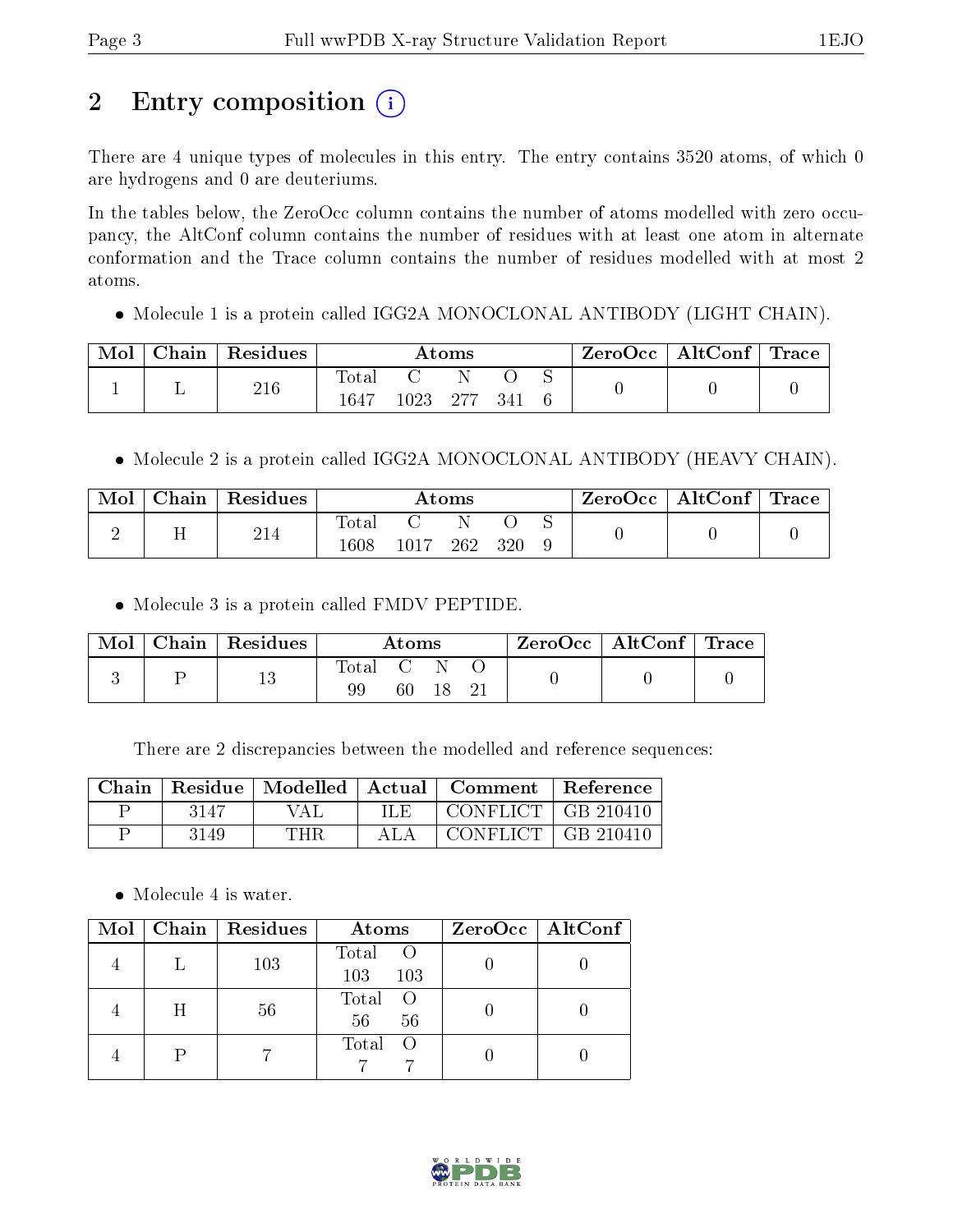# 2 Entry composition (i)

There are 4 unique types of molecules in this entry. The entry contains 3520 atoms, of which 0 are hydrogens and 0 are deuteriums.

In the tables below, the ZeroOcc column contains the number of atoms modelled with zero occupancy, the AltConf column contains the number of residues with at least one atom in alternate conformation and the Trace column contains the number of residues modelled with at most 2 atoms.

Molecule 1 is a protein called IGG2A MONOCLONAL ANTIBODY (LIGHT CHAIN).

| Mol | Chain | Residues | Atoms         |          |       |     |  | ZeroOcc | $\mid$ AltConf $\mid$ Trace |  |
|-----|-------|----------|---------------|----------|-------|-----|--|---------|-----------------------------|--|
|     |       | 216      | Total<br>1647 | $1923 -$ | - 277 | 341 |  |         |                             |  |

• Molecule 2 is a protein called IGG2A MONOCLONAL ANTIBODY (HEAVY CHAIN).

| Mol | Chain | Residues | Atoms         |      |     |       | $\rm ZeroOcc \mid AltConf \mid Trace$ |  |  |
|-----|-------|----------|---------------|------|-----|-------|---------------------------------------|--|--|
|     |       | 214      | Total<br>1608 | 1017 | 262 | - 320 |                                       |  |  |

• Molecule 3 is a protein called FMDV PEPTIDE.

| $\text{Mol}$ | Chain   Residues | $\rm{Atoms}$ |     |  |  | $\text{ZeroOcc} \mid \text{AltConf} \mid \text{Trace}$ |  |
|--------------|------------------|--------------|-----|--|--|--------------------------------------------------------|--|
|              |                  | Total        | 60. |  |  |                                                        |  |

There are 2 discrepancies between the modelled and reference sequences:

| Chain. |      |     |      | Residue   Modelled   Actual   Comment   Reference |  |
|--------|------|-----|------|---------------------------------------------------|--|
|        | 3147 | VAL | ILE. | CONFLICT   GB 210410                              |  |
|        | 3149 | THR |      | CONFLICT $\mid$ GB 210410                         |  |

• Molecule 4 is water.

|   | Mol   Chain   Residues | Atoms                 | $ZeroOcc \mid AltConf \mid$ |
|---|------------------------|-----------------------|-----------------------------|
|   | 103                    | Total O<br>103<br>103 |                             |
| Η | 56                     | Total O<br>56<br>56   |                             |
|   |                        | Total<br>- ()         |                             |

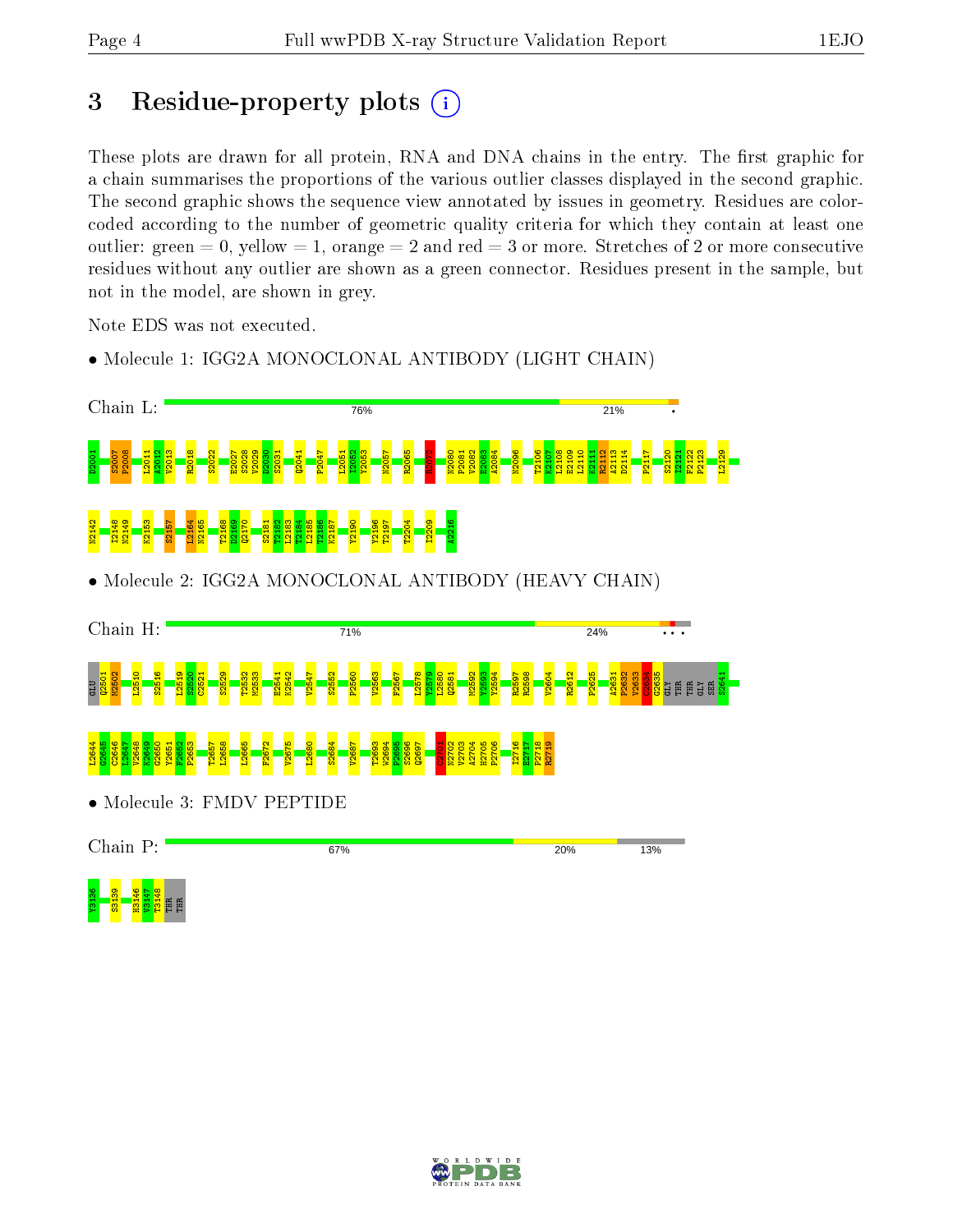# 3 Residue-property plots  $(i)$

These plots are drawn for all protein, RNA and DNA chains in the entry. The first graphic for a chain summarises the proportions of the various outlier classes displayed in the second graphic. The second graphic shows the sequence view annotated by issues in geometry. Residues are colorcoded according to the number of geometric quality criteria for which they contain at least one outlier: green  $= 0$ , yellow  $= 1$ , orange  $= 2$  and red  $= 3$  or more. Stretches of 2 or more consecutive residues without any outlier are shown as a green connector. Residues present in the sample, but not in the model, are shown in grey.

Note EDS was not executed.

• Molecule 1: IGG2A MONOCLONAL ANTIBODY (LIGHT CHAIN)



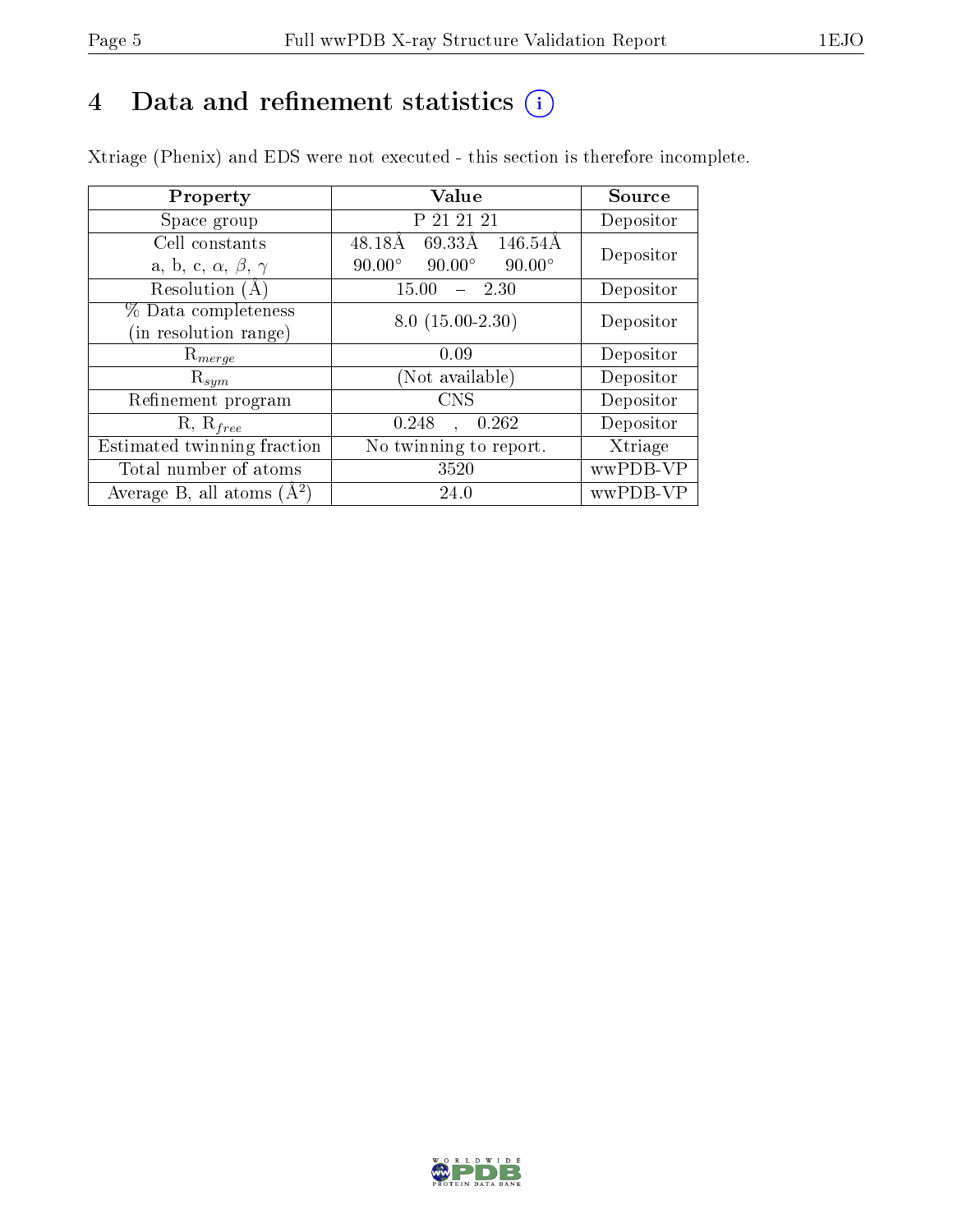# 4 Data and refinement statistics  $(i)$

Xtriage (Phenix) and EDS were not executed - this section is therefore incomplete.

| Property                               | Value                                           | Source    |  |
|----------------------------------------|-------------------------------------------------|-----------|--|
| Space group                            | P 21 21 21                                      | Depositor |  |
| Cell constants                         | 146.54Å<br>48.18Å<br>69.33Å                     | Depositor |  |
| a, b, c, $\alpha$ , $\beta$ , $\gamma$ | $90.00^\circ$<br>$90.00^\circ$<br>$90.00^\circ$ |           |  |
| Resolution (A)                         | 15.00<br>$-2.30$                                | Depositor |  |
| % Data completeness                    | $8.0(15.00-2.30)$                               | Depositor |  |
| (in resolution range)                  |                                                 |           |  |
| $R_{merge}$                            | 0.09                                            | Depositor |  |
| $\mathrm{R}_{sym}$                     | Not available)                                  | Depositor |  |
| Refinement program                     | <b>CNS</b>                                      | Depositor |  |
| $R, R_{free}$                          | 0.248<br>0.262<br>$\mathbf{A}$                  | Depositor |  |
| Estimated twinning fraction            | No twinning to report.                          | Xtriage   |  |
| Total number of atoms                  | 3520                                            | wwPDB-VP  |  |
| Average B, all atoms $(A^2)$           | 24.0                                            | wwPDB-VP  |  |

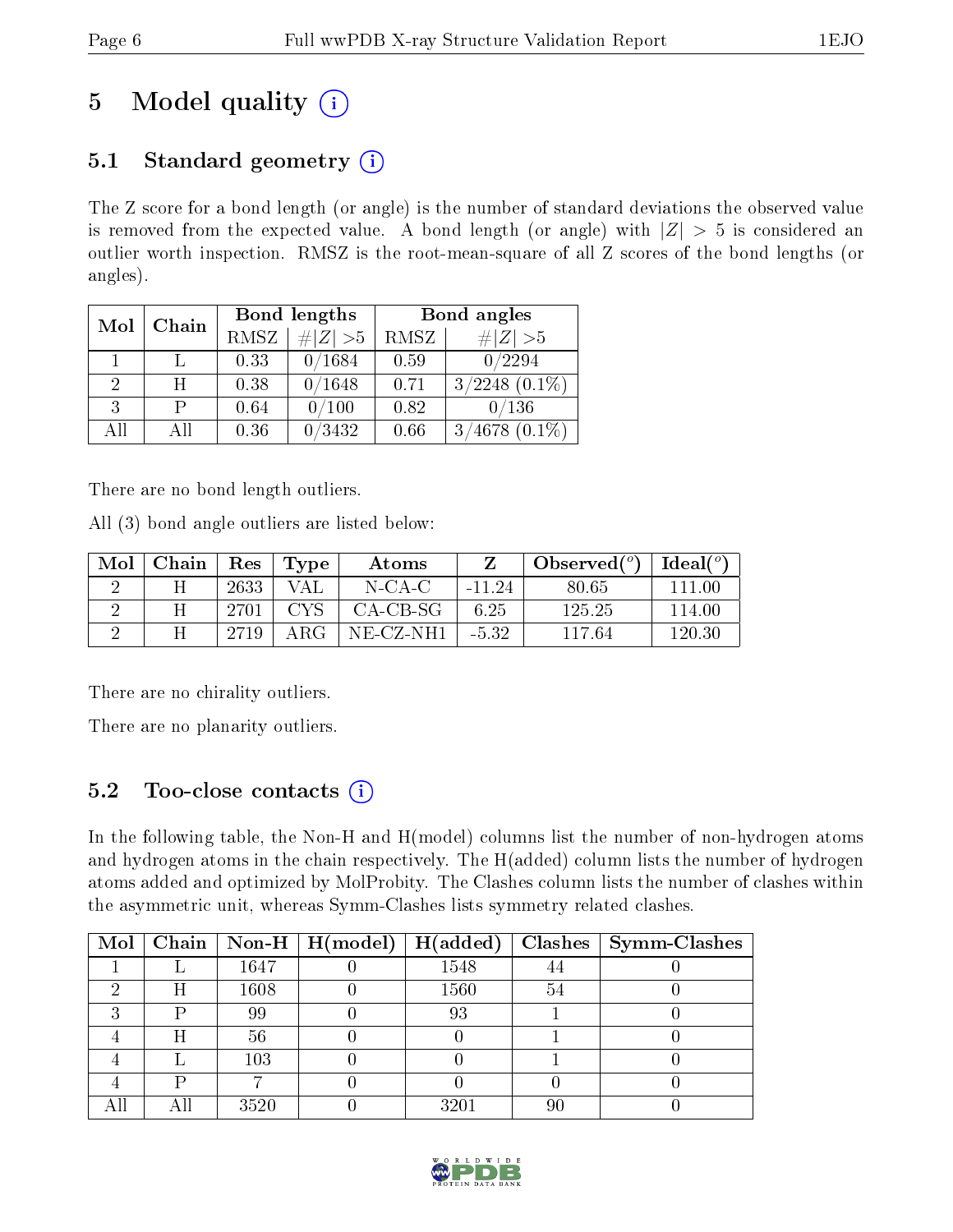# 5 Model quality  $(i)$

# 5.1 Standard geometry  $(i)$

The Z score for a bond length (or angle) is the number of standard deviations the observed value is removed from the expected value. A bond length (or angle) with  $|Z| > 5$  is considered an outlier worth inspection. RMSZ is the root-mean-square of all Z scores of the bond lengths (or angles).

| Mol | Chain |      | Bond lengths | Bond angles |                    |  |
|-----|-------|------|--------------|-------------|--------------------|--|
|     |       | RMSZ | $\# Z  > 5$  | RMSZ        | # Z  > 5           |  |
|     |       | 0.33 | 0/1684       | 0.59        | 0/2294             |  |
| 2   | H     | 0.38 | 0/1648       | 0.71        | $3/2248$ $(0.1\%)$ |  |
| 3   | Р     | 0.64 | /100         | 0.82        | 0/136              |  |
| AĦ  | ΑH    | 0.36 | 0/3432       | 0.66        | $3/4678$ $(0.1\%)$ |  |

There are no bond length outliers.

All (3) bond angle outliers are listed below:

| Mol | Chain |      | Res   Type | Atoms        |          | Observed( $^{\circ}$ )   Ideal( $^{\circ}$ ) |        |
|-----|-------|------|------------|--------------|----------|----------------------------------------------|--------|
|     |       | 2633 | VAL        | $N$ -CA-C    | $-11.24$ | 80.65                                        | 111 00 |
|     |       | 2701 | CYS.       | CA-CB-SG     | 6.25     | 125.25                                       | 114.00 |
|     |       | 2719 | $\rm{ARG}$ | $NE$ -CZ-NH1 | $-5.32$  | 117.64                                       | 120.30 |

There are no chirality outliers.

There are no planarity outliers.

## 5.2 Too-close contacts  $(i)$

In the following table, the Non-H and H(model) columns list the number of non-hydrogen atoms and hydrogen atoms in the chain respectively. The H(added) column lists the number of hydrogen atoms added and optimized by MolProbity. The Clashes column lists the number of clashes within the asymmetric unit, whereas Symm-Clashes lists symmetry related clashes.

| $\text{Mol}$ |   |      | $\mid$ Chain $\mid$ Non-H $\mid$ H(model) $\mid$ | H(added) |    | $Clashes$   Symm-Clashes |
|--------------|---|------|--------------------------------------------------|----------|----|--------------------------|
|              |   | 1647 |                                                  | 1548     |    |                          |
|              | Η | 1608 |                                                  | 1560     | 54 |                          |
|              | D | 99   |                                                  | 93       |    |                          |
|              | Η | 56   |                                                  |          |    |                          |
|              |   | 103  |                                                  |          |    |                          |
|              |   |      |                                                  |          |    |                          |
|              |   | 3520 |                                                  | 3201     | 90 |                          |

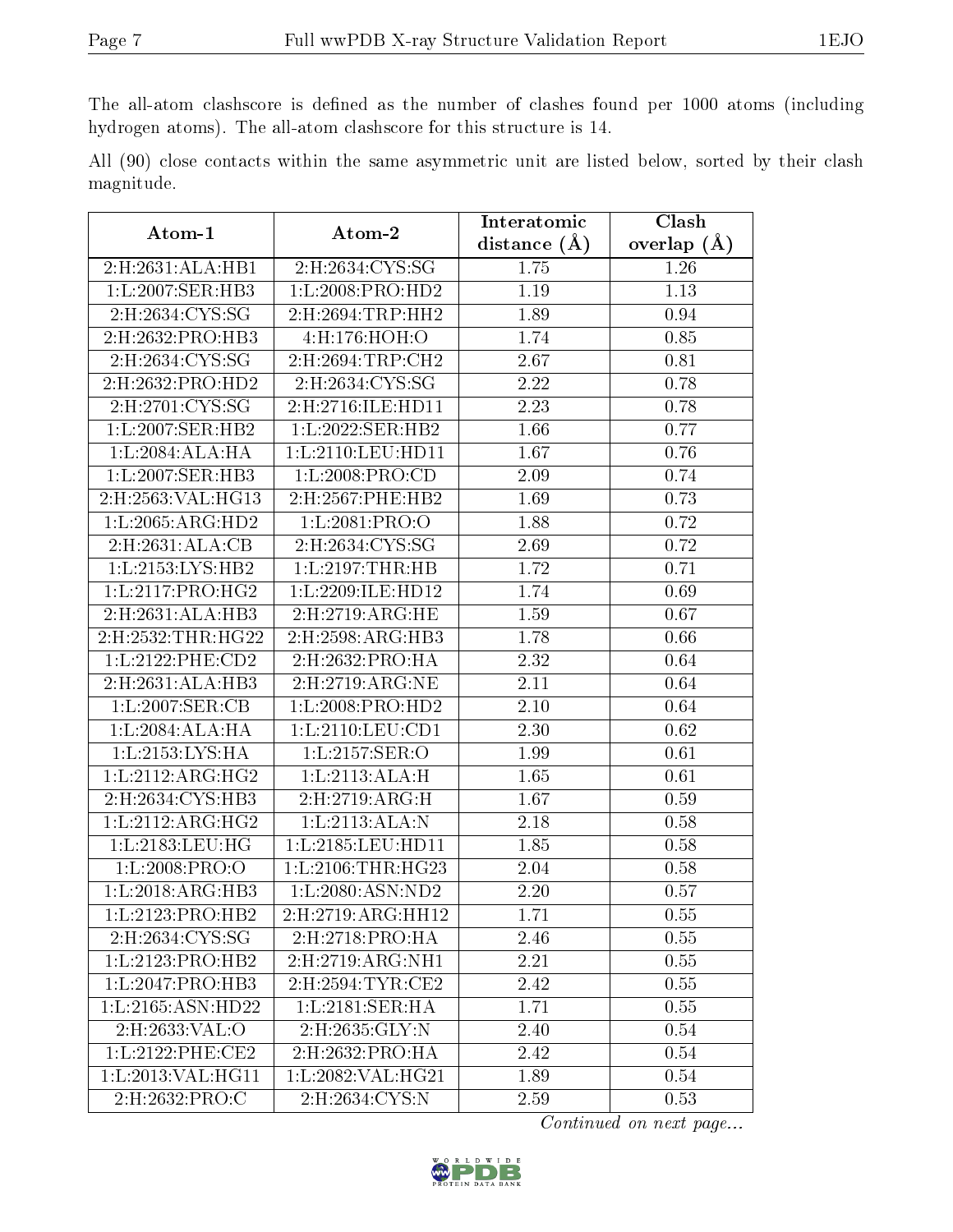The all-atom clashscore is defined as the number of clashes found per 1000 atoms (including hydrogen atoms). The all-atom clashscore for this structure is 14.

All (90) close contacts within the same asymmetric unit are listed below, sorted by their clash magnitude.

| Atom-1               | Atom-2                           | Interatomic       | Clash         |
|----------------------|----------------------------------|-------------------|---------------|
|                      |                                  | distance $(A)$    | overlap $(A)$ |
| 2:H:2631:ALA:HB1     | 2:H:2634:CYS:SG                  | 1.75              | 1.26          |
| 1:L:2007:SER:HB3     | 1:L:2008:PRO:HD2                 | 1.19              | 1.13          |
| 2:H:2634:CYS:SG      | 2:H:2694:TRP:HH2                 | 1.89              | 0.94          |
| 2:H:2632:PRO:HB3     | 4:H:176:HOH:O                    | 1.74              | 0.85          |
| 2:H:2634:CYS:SG      | 2:H:2694:TRP:CH2                 | 2.67              | 0.81          |
| 2:H:2632:PRO:HD2     | $2: H: 2634: CYS: \overline{SG}$ | 2.22              | 0.78          |
| 2:H:2701:CYS:SG      | 2:H:2716:ILE:HD11                | 2.23              | 0.78          |
| 1:L:2007:SER:HB2     | 1:L:2022:SER:HB2                 | 1.66              | 0.77          |
| 1:L:2084:ALA:HA      | 1:L:2110:LEU:HD11                | 1.67              | 0.76          |
| 1:L:2007:SER:HB3     | 1:L:2008:PRO:CD                  | 2.09              | 0.74          |
| 2:H:2563: VAL: HG13  | 2:H:2567:PHE:HB2                 | 1.69              | 0.73          |
| 1: L: 2065: ARG: HD2 | 1:L:2081:PRO:O                   | 1.88              | 0.72          |
| 2:H:2631:ALA:CB      | 2: H: 2634: CYS: SG              | 2.69              | 0.72          |
| 1: L: 2153: LYS: HB2 | $1:L:2197$ : THR: HB             | 1.72              | 0.71          |
| 1: L: 2117: PRO:HG2  | 1:L:2209:ILE:HD12                | 1.74              | 0.69          |
| 2:H:2631:ALA:HB3     | $2:$ H $:2719:ARG:HE$            | 1.59              | 0.67          |
| 2:H:2532:THR:HG22    | 2:H:2598:ARG:HB3                 | 1.78              | 0.66          |
| 1:L:2122:PHE:CD2     | 2:H:2632:PRO:HA                  | 2.32              | 0.64          |
| 2:H:2631:ALA:HB3     | 2:H:2719:ARG:NE                  | 2.11              | 0.64          |
| 1:L:2007:SER:CB      | 1:L:2008:PRO:HD2                 | 2.10              | 0.64          |
| 1:L:2084:ALA:HA      | 1:L:2110:LEU:CD1                 | 2.30              | 0.62          |
| 1:L:2153:LYS:HA      | 1: L:2157: SER:O                 | 1.99              | 0.61          |
| 1: L: 2112: ARG: HG2 | 1:L:2113:ALA:H                   | 1.65              | 0.61          |
| 2:H:2634:CYS:HB3     | 2:H:2719:ARG:H                   | 1.67              | 0.59          |
| 1: L: 2112: ARG: HG2 | 1:L:2113:ALA:N                   | 2.18              | 0.58          |
| 1:L:2183:LEU:HG      | 1:L:2185:LEU:HD11                | 1.85              | 0.58          |
| 1:L:2008:PRO:O       | 1: L:2106:THR:HG23               | 2.04              | 0.58          |
| 1:L:2018:ARG:HB3     | 1:L:2080:ASN:ND2                 | 2.20              | 0.57          |
| 1:L:2123:PRO:HB2     | 2:H:2719:ARG:HH12                | $\overline{1.71}$ | 0.55          |
| 2:H:2634:CYS:SG      | 2: H:2718: PRO: HA               | 2.46              | 0.55          |
| 1:L:2123:PRO:HB2     | 2:H:2719:ARG:NH1                 | 2.21              | 0.55          |
| 1: L:2047: PRO:HB3   | 2:H:2594:TYR:CE2                 | 2.42              | 0.55          |
| 1:L:2165:ASN:HD22    | 1:L:2181:SER:HA                  | 1.71              | 0.55          |
| 2:H:2633:VAL:O       | 2: H: 2635: GLY:N                | 2.40              | 0.54          |
| 1: L: 2122: PHE:CE2  | 2: H: 2632: PRO: HA              | 2.42              | 0.54          |
| 1: L: 2013: VAL:HGI1 | 1: L: 2082: VAL:HG21             | 1.89              | 0.54          |
| 2:H:2632:PRO:C       | 2:H:2634:CYS:N                   | 2.59              | 0.53          |

Continued on next page...

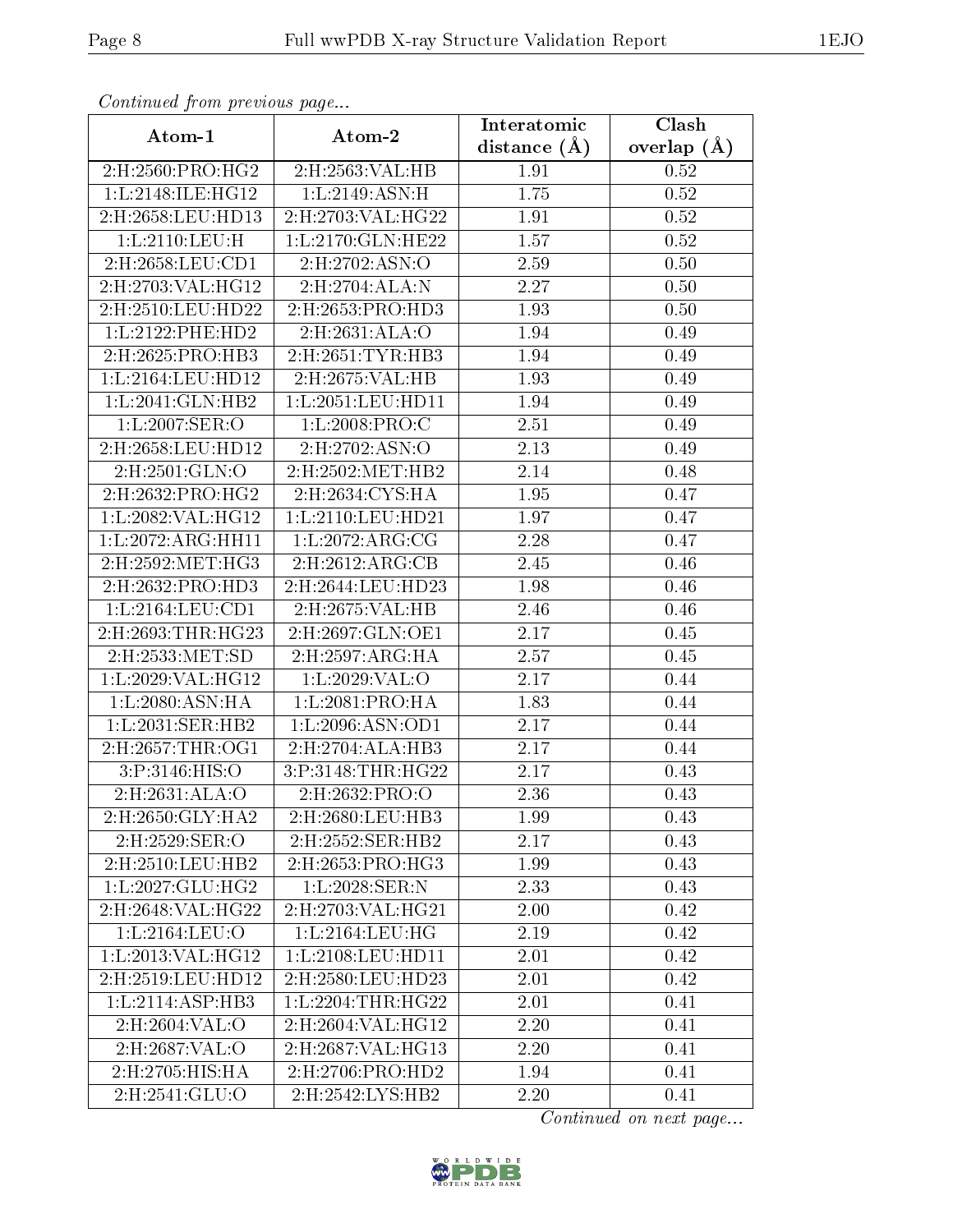| $\frac{1}{r}$ . The same $\frac{1}{r}$ is the same $\frac{1}{r}$ and $\frac{1}{r}$ and $\frac{1}{r}$ and $\frac{1}{r}$ and $\frac{1}{r}$ and $\frac{1}{r}$ and $\frac{1}{r}$ and $\frac{1}{r}$ and $\frac{1}{r}$ and $\frac{1}{r}$ and $\frac{1}{r}$ and $\frac{1}{r}$ and $\frac{1}{r}$<br>Atom-1<br>Atom-2 |                      | Interatomic    | Clash         |
|--------------------------------------------------------------------------------------------------------------------------------------------------------------------------------------------------------------------------------------------------------------------------------------------------------------|----------------------|----------------|---------------|
|                                                                                                                                                                                                                                                                                                              |                      | distance $(A)$ | overlap $(A)$ |
| 2:H:2560:PRO:HG2                                                                                                                                                                                                                                                                                             | 2:H:2563:VAL:HB      | 1.91           | 0.52          |
| 1:L:2148:ILE:HG12                                                                                                                                                                                                                                                                                            | 1:L:2149:ASN:H       | 1.75           | 0.52          |
| 2:H:2658:LEU:HD13                                                                                                                                                                                                                                                                                            | 2:H:2703:VAL:HG22    | 1.91           | 0.52          |
| 1: L:2110:LEU:H                                                                                                                                                                                                                                                                                              | 1:L:2170:GLN:HE22    | 1.57           | 0.52          |
| 2:H:2658:LEU:CD1                                                                                                                                                                                                                                                                                             | 2:H:2702:ASN:O       | 2.59           | 0.50          |
| 2:H:2703:VAL:HG12                                                                                                                                                                                                                                                                                            | 2: H: 2704: ALA: N   | 2.27           | 0.50          |
| 2:H:2510:LEU:HD22                                                                                                                                                                                                                                                                                            | 2:H:2653:PRO:HD3     | 1.93           | 0.50          |
| 1: L: 2122: PHE: HD2                                                                                                                                                                                                                                                                                         | 2: H: 2631: ALA: O   | 1.94           | 0.49          |
| 2:H:2625:PRO:HB3                                                                                                                                                                                                                                                                                             | 2:H:2651:TYR:HB3     | 1.94           | 0.49          |
| 1:L:2164:LEU:HD12                                                                                                                                                                                                                                                                                            | 2:H:2675:VAL:HB      | 1.93           | 0.49          |
| 1: L:2041: GLN:HB2                                                                                                                                                                                                                                                                                           | 1:L:2051:LEU:HD11    | 1.94           | 0.49          |
| 1:L:2007:SER:O                                                                                                                                                                                                                                                                                               | 1:L:2008:PRO:C       | 2.51           | 0.49          |
| 2:H:2658:LEU:HD12                                                                                                                                                                                                                                                                                            | 2: H: 2702: ASN:O    | 2.13           | 0.49          |
| 2:H:2501:GLN:O                                                                                                                                                                                                                                                                                               | 2:H:2502:MET:HB2     | 2.14           | 0.48          |
| 2:H:2632:PRO:HG2                                                                                                                                                                                                                                                                                             | 2: H: 2634: CYS: HA  | 1.95           | 0.47          |
| 1:L:2082:VAL:HG12                                                                                                                                                                                                                                                                                            | 1:L:2110:LEU:HD21    | 1.97           | 0.47          |
| 1:L:2072:ARG:HH11                                                                                                                                                                                                                                                                                            | 1:L:2072:ARG:CG      | 2.28           | 0.47          |
| 2:H:2592:MET:HG3                                                                                                                                                                                                                                                                                             | 2: H:2612: ARG: CB   | 2.45           | 0.46          |
| 2:H:2632:PRO:HD3                                                                                                                                                                                                                                                                                             | 2:H:2644:LEU:HD23    | 1.98           | 0.46          |
| 1:L:2164:LEU:CD1                                                                                                                                                                                                                                                                                             | 2:H:2675:VAL:HB      | 2.46           | 0.46          |
| 2:H:2693:THR:HG23                                                                                                                                                                                                                                                                                            | 2:H:2697:GLN:OE1     | 2.17           | 0.45          |
| 2:H:2533:MET:SD                                                                                                                                                                                                                                                                                              | 2: H: 2597: ARG: HA  | 2.57           | 0.45          |
| 1:L:2029:VAL:HG12                                                                                                                                                                                                                                                                                            | 1: L: 2029: VAL: O   | 2.17           | 0.44          |
| 1:L:2080:ASN:HA                                                                                                                                                                                                                                                                                              | 1:L:2081:PRO:HA      | 1.83           | 0.44          |
| 1:L:2031:SER:HB2                                                                                                                                                                                                                                                                                             | 1: L: 2096: ASN: OD1 | 2.17           | 0.44          |
| 2:H:2657:THR:OG1                                                                                                                                                                                                                                                                                             | 2:H:2704:ALA:HB3     | 2.17           | 0.44          |
| 3:P:3146:HIS:O                                                                                                                                                                                                                                                                                               | 3:P:3148:THR:HG22    | 2.17           | 0.43          |
| 2:H:2631:ALA:O                                                                                                                                                                                                                                                                                               | 2:H:2632:PRO:O       | 2.36           | 0.43          |
| 2:H:2650:GLY:HA2                                                                                                                                                                                                                                                                                             | 2:H:2680:LEU:HB3     | 1.99           | 0.43          |
| 2:H:2529:SER:O                                                                                                                                                                                                                                                                                               | 2:H:2552:SER:HB2     | 2.17           | 0.43          |
| 2:H:2510:LEU:HB2                                                                                                                                                                                                                                                                                             | 2:H:2653:PRO:HG3     | 1.99           | 0.43          |
| 1: L: 2027: GLU: HG2                                                                                                                                                                                                                                                                                         | $1: L: 2028:$ SER:N  | 2.33           | 0.43          |
| 2:H:2648:VAL:HG22                                                                                                                                                                                                                                                                                            | 2:H:2703:VAL:HG21    | 2.00           | 0.42          |
| 1:L:2164:LEU:O                                                                                                                                                                                                                                                                                               | 1: L: 2164: LEU: HG  | 2.19           | 0.42          |
| 1:L:2013:VAL:H <sub>G12</sub>                                                                                                                                                                                                                                                                                | 1:L:2108:LEU:HD11    | 2.01           | 0.42          |
| 2:H:2519:LEU:HD12                                                                                                                                                                                                                                                                                            | 2:H:2580:LEU:HD23    | 2.01           | 0.42          |
| 1:L:2114:ASP:HB3                                                                                                                                                                                                                                                                                             | 1:L:2204:THR:HG22    | 2.01           | 0.41          |
| 2:H:2604:VAL:O                                                                                                                                                                                                                                                                                               | 2:H:2604:VAL:HG12    | 2.20           | 0.41          |
| 2:H:2687:VAL:O                                                                                                                                                                                                                                                                                               | 2:H:2687:VAL:HG13    | 2.20           | 0.41          |
| 2:H:2705:HIS:HA                                                                                                                                                                                                                                                                                              | 2:H:2706:PRO:HD2     | 1.94           | 0.41          |
| 2:H:2541:GLU:O                                                                                                                                                                                                                                                                                               | 2:H:2542:LYS:HB2     | 2.20           | 0.41          |

Continued from previous page...

Continued on next page...

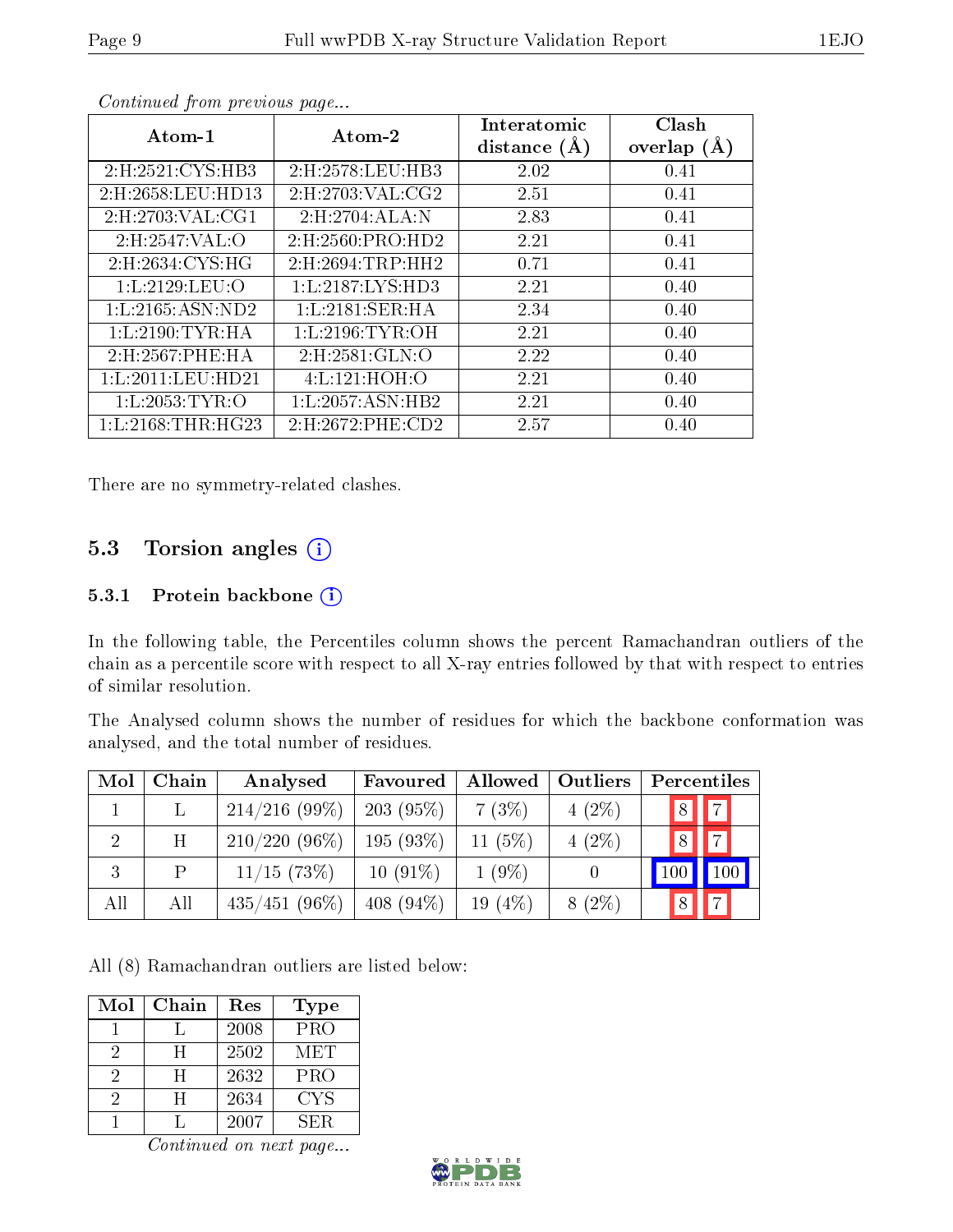| Atom-1               | Atom-2               | Interatomic<br>distance $(A)$ | Clash<br>overlap $(A)$ |
|----------------------|----------------------|-------------------------------|------------------------|
| 2:H:2521:CYS:HB3     | 2:H:2578:LEU:HB3     | 2.02                          | 0.41                   |
| 2:H:2658:LEU:HD13    | 2: H: 2703: VAL: CG2 | 2.51                          | 0.41                   |
| 2: H: 2703: VAL: CG1 | 2:H:2704:ALA:N       | 2.83                          | 0.41                   |
| 2:H:2547:VAL:O       | 2: H: 2560: PRO: HD2 | 2.21                          | 0.41                   |
| 2:H:2634:CYS:HG      | 2:H:2694:TRP:HH2     | 0.71                          | 0.41                   |
| 1: L: 2129: LEU: O   | 1: L: 2187: LYS: HD3 | 2.21                          | 0.40                   |
| 1: L: 2165: ASN: ND2 | $1: L:2181:$ SER:HA  | 2.34                          | 0.40                   |
| 1: L:2190: TYR: HA   | 1: L:2196: TYR:OH    | 2.21                          | 0.40                   |
| 2:H:2567:PHE:HA      | 2:H:2581:GLN:O       | 2.22                          | 0.40                   |
| 1:L:2011:LEU:HD21    | 4:L:121:HOH:O        | 2.21                          | 0.40                   |
| 1: L: 2053: TYR: O   | 1: L: 2057: ASN: HB2 | 2.21                          | 0.40                   |
| 1: L:2168: THR:HG23  | 2:H:2672:PHE:CD2     | 2.57                          | 0.40                   |

Continued from previous page...

There are no symmetry-related clashes.

### 5.3 Torsion angles (i)

#### 5.3.1 Protein backbone (i)

In the following table, the Percentiles column shows the percent Ramachandran outliers of the chain as a percentile score with respect to all X-ray entries followed by that with respect to entries of similar resolution.

The Analysed column shows the number of residues for which the backbone conformation was analysed, and the total number of residues.

| Mol | Chain | Analysed        | Favoured     | Allowed    | Outliers | Percentiles                 |
|-----|-------|-----------------|--------------|------------|----------|-----------------------------|
|     |       | $214/216(99\%)$ | $203(95\%)$  | 7(3%)      | $4(2\%)$ | 7 <br> 8                    |
| 2   | H     | $210/220(96\%)$ | 195(93%)     | 11 $(5%)$  | $4(2\%)$ | $\overline{7}$<br>$\vert 8$ |
| 3   | P     | $11/15$ (73\%)  | $10(91\%)$   | $1(9\%)$   |          | 100 <sup>1</sup>            |
| All | All   | $435/451(96\%)$ | 408 $(94\%)$ | 19 $(4\%)$ | $8(2\%)$ | 7 <br> 8                    |

All (8) Ramachandran outliers are listed below:

| Mol | Chain | Res  | <b>Type</b> |
|-----|-------|------|-------------|
|     |       | 2008 | <b>PRO</b>  |
| 2   | Ħ     | 2502 | MET         |
| 2   | Ħ     | 2632 | <b>PRO</b>  |
| 2   | H     | 2634 | CYS         |
|     |       | 2007 | SER         |

Continued on next page...

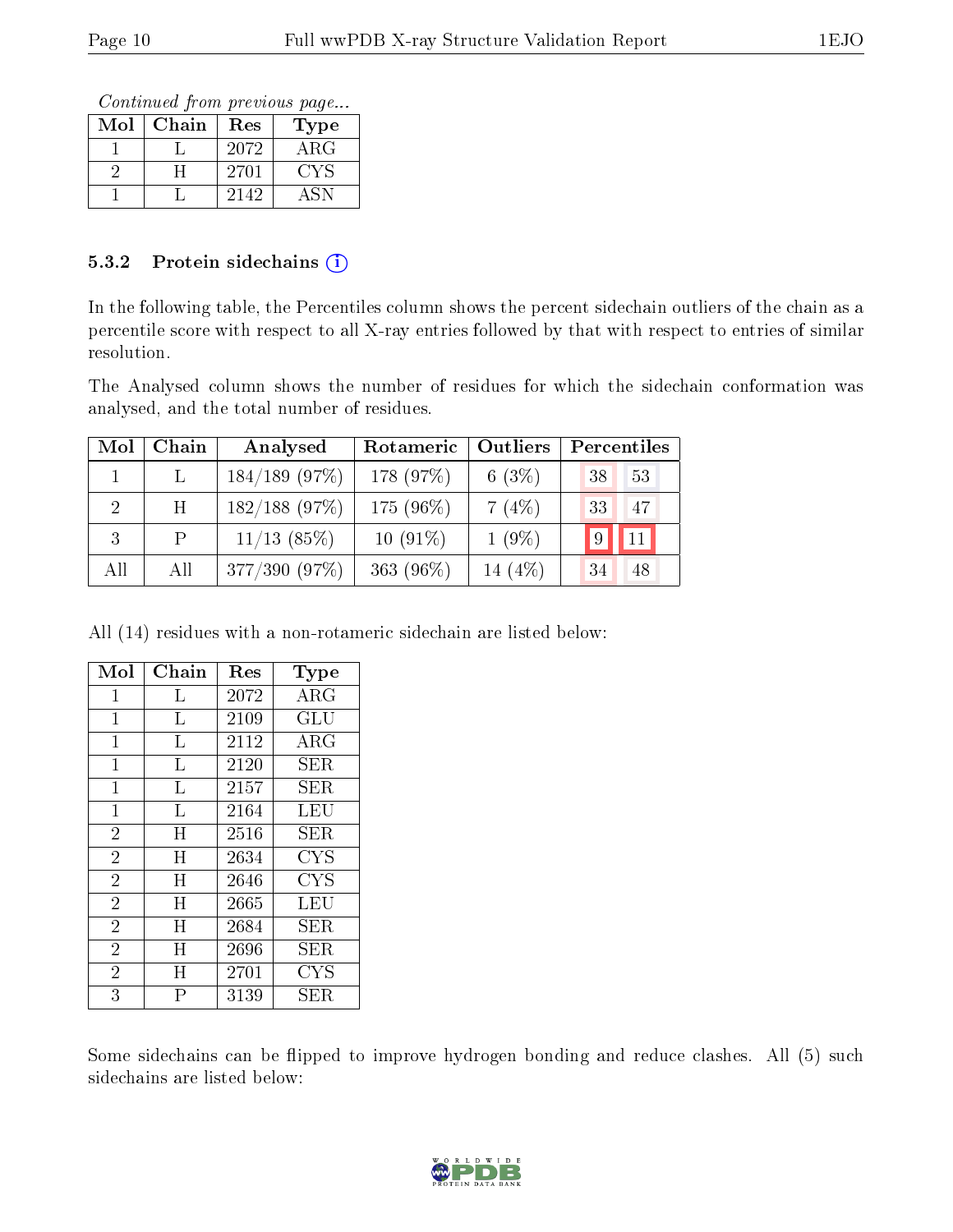Continued from previous page...

| Mol | Chain | Res  | Type        |
|-----|-------|------|-------------|
|     |       | 2072 | ${\rm ARG}$ |
|     |       | 2701 | CYS         |
|     |       | 2142 |             |

#### 5.3.2 Protein sidechains (i)

In the following table, the Percentiles column shows the percent sidechain outliers of the chain as a percentile score with respect to all X-ray entries followed by that with respect to entries of similar resolution.

The Analysed column shows the number of residues for which the sidechain conformation was analysed, and the total number of residues.

| Mol            | Chain           | Analysed         | Rotameric    | Outliers  | Percentiles |
|----------------|-----------------|------------------|--------------|-----------|-------------|
|                |                 | $184/189$ (97\%) | 178 (97%)    | 6 $(3\%)$ | 38<br>53    |
| $\overline{2}$ | $H_{\parallel}$ | $182/188$ (97\%) | 175 (96\%)   | 7(4%)     | 33<br>47    |
| 3              | P.              | $11/13$ (85%)    | $10(91\%)$   | $1(9\%)$  | 11 <br> 9   |
| All            | All             | 377/390(97%)     | 363 $(96\%)$ | 14 $(4%)$ | 48<br>34    |

All (14) residues with a non-rotameric sidechain are listed below:

| Mol            | Chain | Res  | Type        |
|----------------|-------|------|-------------|
| 1              | L     | 2072 | $\rm{ARG}$  |
| $\mathbf{1}$   | L     | 2109 | GLU         |
| $\mathbf{1}$   | L     | 2112 | $\rm{ARG}$  |
| 1              | L     | 2120 | SER         |
| $\mathbf{1}$   | L     | 2157 | <b>SER</b>  |
| $\mathbf{1}$   | L     | 2164 | LEU         |
| $\overline{2}$ | H     | 2516 | SER.        |
| $\overline{2}$ | H     | 2634 | <b>CYS</b>  |
| $\overline{2}$ | H     | 2646 | <b>CYS</b>  |
| $\overline{2}$ | H     | 2665 | LEU         |
| $\overline{2}$ | H     | 2684 | SER.        |
| $\overline{2}$ | H     | 2696 | SER         |
| $\overline{2}$ | Η     | 2701 | <b>CYS</b>  |
| 3              | Р     | 3139 | ${\rm SER}$ |

Some sidechains can be flipped to improve hydrogen bonding and reduce clashes. All (5) such sidechains are listed below:

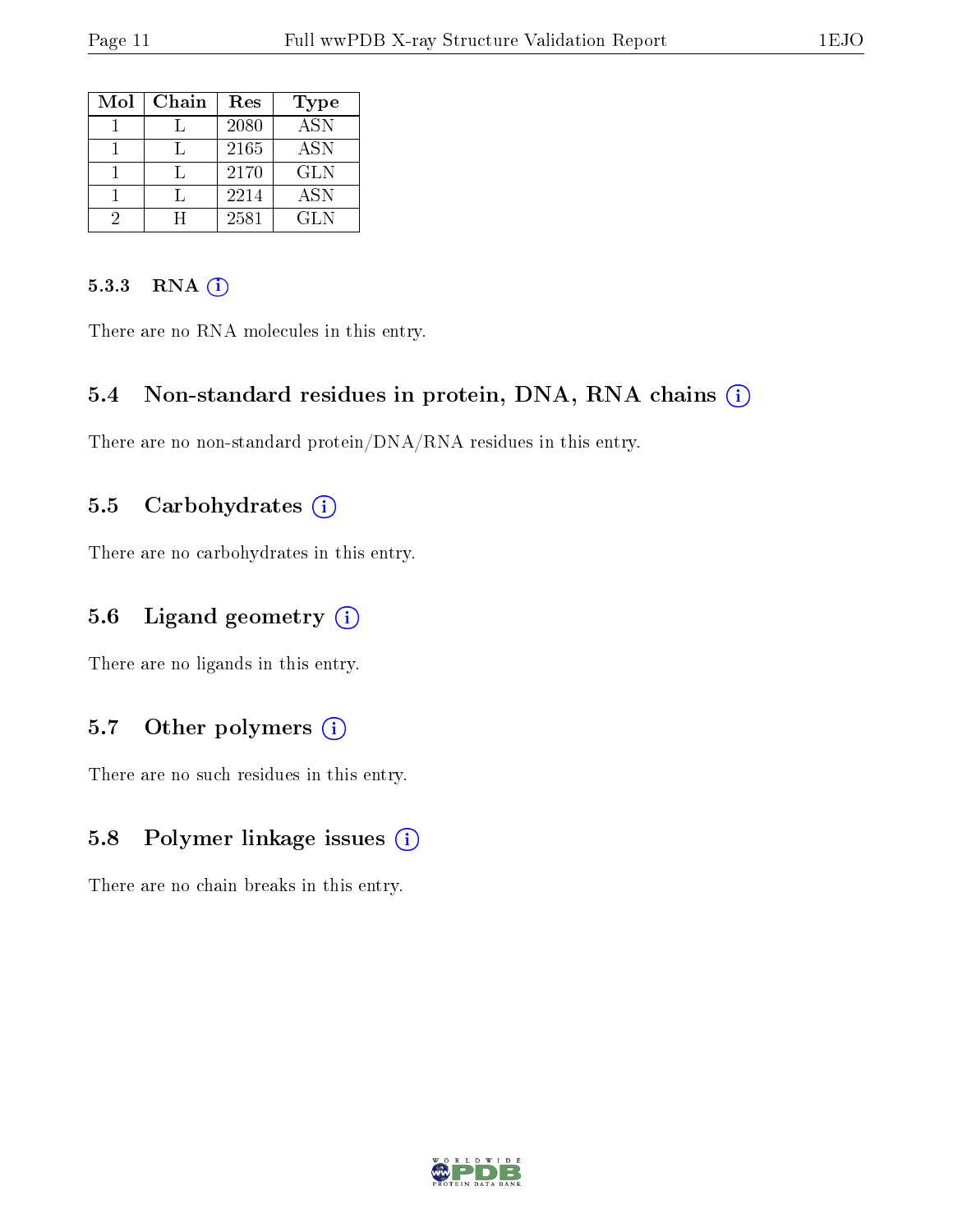| Mol | Chain | Res  | Type                      |
|-----|-------|------|---------------------------|
|     |       | 2080 | $\overline{\mathrm{ASN}}$ |
|     |       | 2165 | <b>ASN</b>                |
|     |       | 2170 | <b>GLN</b>                |
|     |       | 2214 | <b>ASN</b>                |
|     |       | 2581 | GLN                       |

#### 5.3.3 RNA [O](https://www.wwpdb.org/validation/2017/XrayValidationReportHelp#rna)i

There are no RNA molecules in this entry.

#### 5.4 Non-standard residues in protein, DNA, RNA chains (i)

There are no non-standard protein/DNA/RNA residues in this entry.

#### 5.5 Carbohydrates  $(i)$

There are no carbohydrates in this entry.

### 5.6 Ligand geometry (i)

There are no ligands in this entry.

### 5.7 [O](https://www.wwpdb.org/validation/2017/XrayValidationReportHelp#nonstandard_residues_and_ligands)ther polymers (i)

There are no such residues in this entry.

#### 5.8 Polymer linkage issues (i)

There are no chain breaks in this entry.